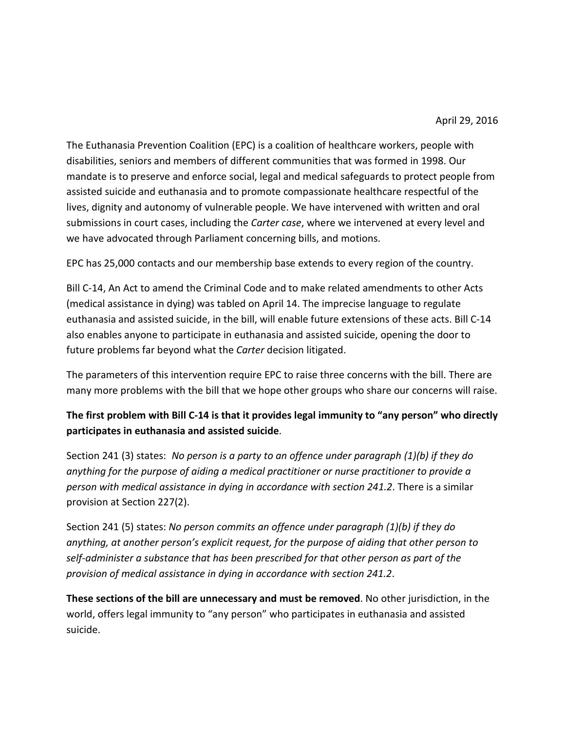The Euthanasia Prevention Coalition (EPC) is a coalition of healthcare workers, people with disabilities, seniors and members of different communities that was formed in 1998. Our mandate is to preserve and enforce social, legal and medical safeguards to protect people from assisted suicide and euthanasia and to promote compassionate healthcare respectful of the lives, dignity and autonomy of vulnerable people. We have intervened with written and oral submissions in court cases, including the *Carter case*, where we intervened at every level and we have advocated through Parliament concerning bills, and motions.

EPC has 25,000 contacts and our membership base extends to every region of the country.

Bill C-14, An Act to amend the Criminal Code and to make related amendments to other Acts (medical assistance in dying) was tabled on April 14. The imprecise language to regulate euthanasia and assisted suicide, in the bill, will enable future extensions of these acts. Bill C-14 also enables anyone to participate in euthanasia and assisted suicide, opening the door to future problems far beyond what the *Carter* decision litigated.

The parameters of this intervention require EPC to raise three concerns with the bill. There are many more problems with the bill that we hope other groups who share our concerns will raise.

## **The first problem with Bill C-14 is that it provides legal immunity to "any person" who directly participates in euthanasia and assisted suicide**.

Section 241 (3) states: *No person is a party to an offence under paragraph (1)(b) if they do anything for the purpose of aiding a medical practitioner or nurse practitioner to provide a person with medical assistance in dying in accordance with section 241.2*. There is a similar provision at Section 227(2).

Section 241 (5) states: *No person commits an offence under paragraph (1)(b) if they do anything, at another person's explicit request, for the purpose of aiding that other person to self-administer a substance that has been prescribed for that other person as part of the provision of medical assistance in dying in accordance with section 241.2*.

**These sections of the bill are unnecessary and must be removed**. No other jurisdiction, in the world, offers legal immunity to "any person" who participates in euthanasia and assisted suicide.